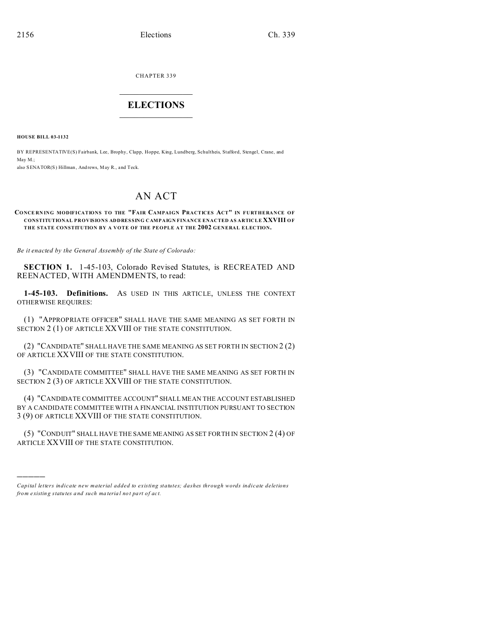CHAPTER 339  $\overline{\phantom{a}}$  , where  $\overline{\phantom{a}}$ 

# **ELECTIONS**  $\_$   $\_$   $\_$   $\_$   $\_$   $\_$   $\_$   $\_$

**HOUSE BILL 03-1132**

)))))

BY REPRESENTATIVE(S) Fairbank, Lee, Brophy, Clapp, Hoppe, King, Lundberg, Schultheis, Stafford, Stengel, Crane, and May M.; also SENATOR(S) Hillman, Andrews, May R., and Teck.

# AN ACT

#### **CONCE RN ING MODIFICATIONS TO THE "FAIR CAMPAIGN PRACTICES ACT" IN FURTHERANCE OF CONSTITUTIONAL PROVISIONS ADDRESSING CAMPAIGN FINANCE ENACTED AS ARTICLE XXVIII OF THE STATE CONSTITUTION BY A VOTE OF THE PEOPLE AT THE 2002 GENERAL ELECTION.**

*Be it enacted by the General Assembly of the State of Colorado:*

**SECTION 1.** 1-45-103, Colorado Revised Statutes, is RECREATED AND REENACTED, WITH AMENDMENTS, to read:

**1-45-103. Definitions.** AS USED IN THIS ARTICLE, UNLESS THE CONTEXT OTHERWISE REQUIRES:

(1) "APPROPRIATE OFFICER" SHALL HAVE THE SAME MEANING AS SET FORTH IN SECTION 2 (1) OF ARTICLE XXVIII OF THE STATE CONSTITUTION.

(2) "CANDIDATE" SHALL HAVE THE SAME MEANING AS SET FORTH IN SECTION 2 (2) OF ARTICLE XXVIII OF THE STATE CONSTITUTION.

(3) "CANDIDATE COMMITTEE" SHALL HAVE THE SAME MEANING AS SET FORTH IN SECTION 2 (3) OF ARTICLE XXVIII OF THE STATE CONSTITUTION.

(4) "CANDIDATE COMMITTEE ACCOUNT" SHALL MEAN THE ACCOUNT ESTABLISHED BY A CANDIDATE COMMITTEE WITH A FINANCIAL INSTITUTION PURSUANT TO SECTION 3 (9) OF ARTICLE XXVIII OF THE STATE CONSTITUTION.

(5) "CONDUIT" SHALL HAVE THE SAME MEANING AS SET FORTH IN SECTION 2 (4) OF ARTICLE XXVIII OF THE STATE CONSTITUTION.

*Capital letters indicate new material added to existing statutes; dashes through words indicate deletions from e xistin g statu tes a nd such ma teria l no t pa rt of ac t.*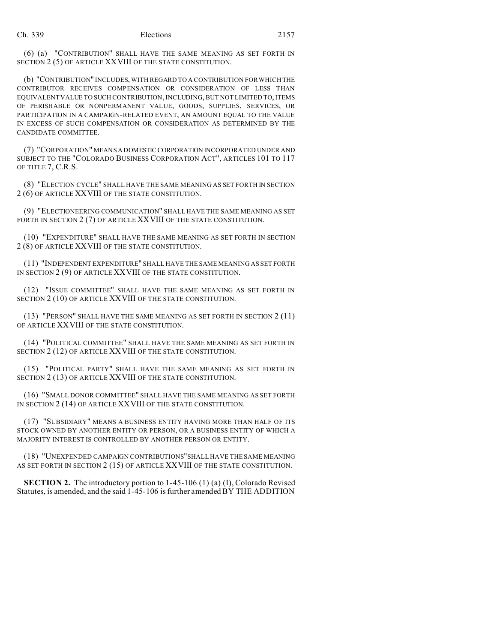(6) (a) "CONTRIBUTION" SHALL HAVE THE SAME MEANING AS SET FORTH IN SECTION 2 (5) OF ARTICLE XXVIII OF THE STATE CONSTITUTION.

(b) "CONTRIBUTION" INCLUDES, WITH REGARD TO A CONTRIBUTION FOR WHICH THE CONTRIBUTOR RECEIVES COMPENSATION OR CONSIDERATION OF LESS THAN EQUIVALENT VALUE TO SUCH CONTRIBUTION, INCLUDING, BUT NOT LIMITED TO, ITEMS OF PERISHABLE OR NONPERMANENT VALUE, GOODS, SUPPLIES, SERVICES, OR PARTICIPATION IN A CAMPAIGN-RELATED EVENT, AN AMOUNT EQUAL TO THE VALUE IN EXCESS OF SUCH COMPENSATION OR CONSIDERATION AS DETERMINED BY THE CANDIDATE COMMITTEE.

(7) "CORPORATION" MEANS A DOMESTIC CORPORATION INCORPORATED UNDER AND SUBJECT TO THE "COLORADO BUSINESS CORPORATION ACT", ARTICLES 101 TO 117 OF TITLE 7, C.R.S.

(8) "ELECTION CYCLE" SHALL HAVE THE SAME MEANING AS SET FORTH IN SECTION 2 (6) OF ARTICLE XXVIII OF THE STATE CONSTITUTION.

(9) "ELECTIONEERING COMMUNICATION" SHALL HAVE THE SAME MEANING AS SET FORTH IN SECTION 2 (7) OF ARTICLE XXVIII OF THE STATE CONSTITUTION.

(10) "EXPENDITURE" SHALL HAVE THE SAME MEANING AS SET FORTH IN SECTION 2 (8) OF ARTICLE XXVIII OF THE STATE CONSTITUTION.

(11) "INDEPENDENT EXPENDITURE" SHALL HAVE THE SAME MEANING AS SET FORTH IN SECTION 2 (9) OF ARTICLE XXVIII OF THE STATE CONSTITUTION.

(12) "ISSUE COMMITTEE" SHALL HAVE THE SAME MEANING AS SET FORTH IN SECTION 2 (10) OF ARTICLE XXVIII OF THE STATE CONSTITUTION.

(13) "PERSON" SHALL HAVE THE SAME MEANING AS SET FORTH IN SECTION 2 (11) OF ARTICLE XXVIII OF THE STATE CONSTITUTION.

(14) "POLITICAL COMMITTEE" SHALL HAVE THE SAME MEANING AS SET FORTH IN SECTION 2 (12) OF ARTICLE XXVIII OF THE STATE CONSTITUTION.

(15) "POLITICAL PARTY" SHALL HAVE THE SAME MEANING AS SET FORTH IN SECTION 2 (13) OF ARTICLE XXVIII OF THE STATE CONSTITUTION.

(16) "SMALL DONOR COMMITTEE" SHALL HAVE THE SAME MEANING AS SET FORTH IN SECTION 2 (14) OF ARTICLE XXVIII OF THE STATE CONSTITUTION.

(17) "SUBSIDIARY" MEANS A BUSINESS ENTITY HAVING MORE THAN HALF OF ITS STOCK OWNED BY ANOTHER ENTITY OR PERSON, OR A BUSINESS ENTITY OF WHICH A MAJORITY INTEREST IS CONTROLLED BY ANOTHER PERSON OR ENTITY.

(18) "UNEXPENDED CAMPAIGN CONTRIBUTIONS"SHALL HAVE THE SAME MEANING AS SET FORTH IN SECTION 2 (15) OF ARTICLE XXVIII OF THE STATE CONSTITUTION.

**SECTION 2.** The introductory portion to 1-45-106 (1) (a) (I), Colorado Revised Statutes, is amended, and the said 1-45-106 is further amended BY THE ADDITION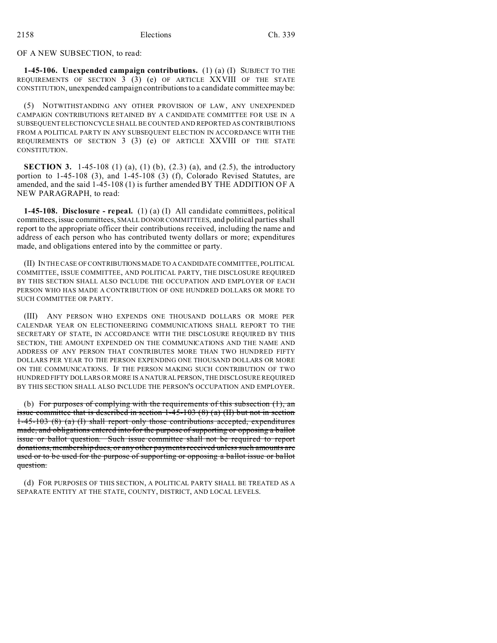OF A NEW SUBSECTION, to read:

**1-45-106. Unexpended campaign contributions.** (1) (a) (I) SUBJECT TO THE REQUIREMENTS OF SECTION  $3(3)$  (e) OF ARTICLE XXVIII OF THE STATE CONSTITUTION, unexpended campaign contributions to a candidate committee may be:

(5) NOTWITHSTANDING ANY OTHER PROVISION OF LAW, ANY UNEXPENDED CAMPAIGN CONTRIBUTIONS RETAINED BY A CANDIDATE COMMITTEE FOR USE IN A SUBSEQUENT ELECTIONCYCLE SHALL BE COUNTED AND REPORTED AS CONTRIBUTIONS FROM A POLITICAL PARTY IN ANY SUBSEQUENT ELECTION IN ACCORDANCE WITH THE REQUIREMENTS OF SECTION 3 (3) (e) OF ARTICLE XXVIII OF THE STATE CONSTITUTION.

**SECTION 3.** 1-45-108 (1) (a), (1) (b), (2.3) (a), and (2.5), the introductory portion to 1-45-108 (3), and 1-45-108 (3) (f), Colorado Revised Statutes, are amended, and the said 1-45-108 (1) is further amended BY THE ADDITION OF A NEW PARAGRAPH, to read:

**1-45-108. Disclosure - repeal.** (1) (a) (I) All candidate committees, political committees, issue committees, SMALL DONOR COMMITTEES, and political parties shall report to the appropriate officer their contributions received, including the name and address of each person who has contributed twenty dollars or more; expenditures made, and obligations entered into by the committee or party.

(II) IN THE CASE OF CONTRIBUTIONS MADE TO A CANDIDATE COMMITTEE, POLITICAL COMMITTEE, ISSUE COMMITTEE, AND POLITICAL PARTY, THE DISCLOSURE REQUIRED BY THIS SECTION SHALL ALSO INCLUDE THE OCCUPATION AND EMPLOYER OF EACH PERSON WHO HAS MADE A CONTRIBUTION OF ONE HUNDRED DOLLARS OR MORE TO SUCH COMMITTEE OR PARTY.

(III) ANY PERSON WHO EXPENDS ONE THOUSAND DOLLARS OR MORE PER CALENDAR YEAR ON ELECTIONEERING COMMUNICATIONS SHALL REPORT TO THE SECRETARY OF STATE, IN ACCORDANCE WITH THE DISCLOSURE REQUIRED BY THIS SECTION, THE AMOUNT EXPENDED ON THE COMMUNICATIONS AND THE NAME AND ADDRESS OF ANY PERSON THAT CONTRIBUTES MORE THAN TWO HUNDRED FIFTY DOLLARS PER YEAR TO THE PERSON EXPENDING ONE THOUSAND DOLLARS OR MORE ON THE COMMUNICATIONS. IF THE PERSON MAKING SUCH CONTRIBUTION OF TWO HUNDRED FIFTY DOLLARS OR MORE IS A NATURALPERSON, THE DISCLOSURE REQUIRED BY THIS SECTION SHALL ALSO INCLUDE THE PERSON'S OCCUPATION AND EMPLOYER.

(b) For purposes of complying with the requirements of this subsection  $(1)$ , an issue committee that is described in section  $1-45-103(8)$  (a) (II) but not in section 1-45-103 (8) (a) (I) shall report only those contributions accepted, expenditures made, and obligations entered into for the purpose of supporting or opposing a ballot issue or ballot question. Such issue committee shall not be required to report donations, membership dues, or any other payments received unless such amounts are used or to be used for the purpose of supporting or opposing a ballot issue or ballot question.

(d) FOR PURPOSES OF THIS SECTION, A POLITICAL PARTY SHALL BE TREATED AS A SEPARATE ENTITY AT THE STATE, COUNTY, DISTRICT, AND LOCAL LEVELS.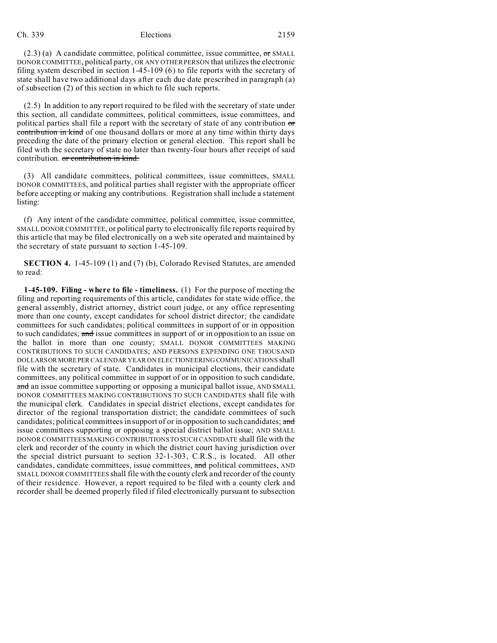### Ch. 339 Elections 2159

 $(2.3)$  (a) A candidate committee, political committee, issue committee, or SMALL DONOR COMMITTEE, political party, OR ANY OTHER PERSON that utilizes the electronic filing system described in section 1-45-109 (6) to file reports with the secretary of state shall have two additional days after each due date prescribed in paragraph (a) of subsection (2) of this section in which to file such reports.

(2.5) In addition to any report required to be filed with the secretary of state under this section, all candidate committees, political committees, issue committees, and political parties shall file a report with the secretary of state of any contribution or contribution in kind of one thousand dollars or more at any time within thirty days preceding the date of the primary election or general election. This report shall be filed with the secretary of state no later than twenty-four hours after receipt of said contribution. or contribution in kind.

(3) All candidate committees, political committees, issue committees, SMALL DONOR COMMITTEES, and political parties shall register with the appropriate officer before accepting or making any contributions. Registration shall include a statement listing:

(f) Any intent of the candidate committee, political committee, issue committee, SMALL DONOR COMMITTEE, or political party to electronically file reports required by this article that may be filed electronically on a web site operated and maintained by the secretary of state pursuant to section 1-45-109.

**SECTION 4.** 1-45-109 (1) and (7) (b), Colorado Revised Statutes, are amended to read:

**1-45-109. Filing - where to file - timeliness.** (1) For the purpose of meeting the filing and reporting requirements of this article, candidates for state wide office, the general assembly, district attorney, district court judge, or any office representing more than one county, except candidates for school district director; the candidate committees for such candidates; political committees in support of or in opposition to such candidates; and issue committees in support of or in opposition to an issue on the ballot in more than one county; SMALL DONOR COMMITTEES MAKING CONTRIBUTIONS TO SUCH CANDIDATES; AND PERSONS EXPENDING ONE THOUSAND DOLLARSORMOREPER CALENDAR YEAR ON ELECTIONEERING COMMUNICATIONS shall file with the secretary of state. Candidates in municipal elections, their candidate committees, any political committee in support of or in opposition to such candidate, and an issue committee supporting or opposing a municipal ballot issue, AND SMALL DONOR COMMITTEES MAKING CONTRIBUTIONS TO SUCH CANDIDATES shall file with the municipal clerk. Candidates in special district elections, except candidates for director of the regional transportation district; the candidate committees of such candidates; political committees in support of or in opposition to such candidates; and issue committees supporting or opposing a special district ballot issue; AND SMALL DONOR COMMITTEES MAKING CONTRIBUTIONS TO SUCH CANDIDATE shall file with the clerk and recorder of the county in which the district court having jurisdiction over the special district pursuant to section 32-1-303, C.R.S., is located. All other candidates, candidate committees, issue committees, and political committees, AND SMALL DONOR COMMITTEES shall file with the county clerk and recorder of the county of their residence. However, a report required to be filed with a county clerk and recorder shall be deemed properly filed if filed electronically pursuant to subsection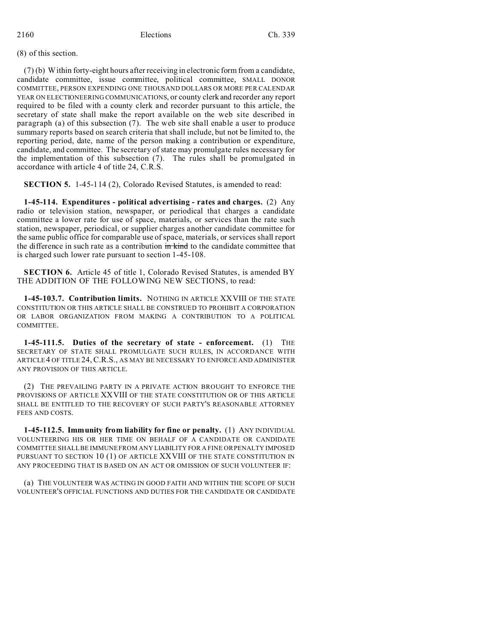# (8) of this section.

(7) (b) Within forty-eight hours after receiving in electronic form from a candidate, candidate committee, issue committee, political committee, SMALL DONOR COMMITTEE, PERSON EXPENDING ONE THOUSAND DOLLARS OR MORE PER CALENDAR YEAR ON ELECTIONEERING COMMUNICATIONS, or county clerk and recorder any report required to be filed with a county clerk and recorder pursuant to this article, the secretary of state shall make the report available on the web site described in paragraph (a) of this subsection (7). The web site shall enable a user to produce summary reports based on search criteria that shall include, but not be limited to, the reporting period, date, name of the person making a contribution or expenditure, candidate, and committee. The secretary of state may promulgate rules necessary for the implementation of this subsection (7). The rules shall be promulgated in accordance with article 4 of title 24, C.R.S.

**SECTION 5.** 1-45-114 (2), Colorado Revised Statutes, is amended to read:

**1-45-114. Expenditures - political advertising - rates and charges.** (2) Any radio or television station, newspaper, or periodical that charges a candidate committee a lower rate for use of space, materials, or services than the rate such station, newspaper, periodical, or supplier charges another candidate committee for the same public office for comparable use of space, materials, or services shall report the difference in such rate as a contribution in kind to the candidate committee that is charged such lower rate pursuant to section 1-45-108.

**SECTION 6.** Article 45 of title 1, Colorado Revised Statutes, is amended BY THE ADDITION OF THE FOLLOWING NEW SECTIONS, to read:

**1-45-103.7. Contribution limits.** NOTHING IN ARTICLE XXVIII OF THE STATE CONSTITUTION OR THIS ARTICLE SHALL BE CONSTRUED TO PROHIBIT A CORPORATION OR LABOR ORGANIZATION FROM MAKING A CONTRIBUTION TO A POLITICAL COMMITTEE.

**1-45-111.5. Duties of the secretary of state - enforcement.** (1) THE SECRETARY OF STATE SHALL PROMULGATE SUCH RULES, IN ACCORDANCE WITH ARTICLE 4 OF TITLE 24, C.R.S., AS MAY BE NECESSARY TO ENFORCE AND ADMINISTER ANY PROVISION OF THIS ARTICLE.

(2) THE PREVAILING PARTY IN A PRIVATE ACTION BROUGHT TO ENFORCE THE PROVISIONS OF ARTICLE XXVIII OF THE STATE CONSTITUTION OR OF THIS ARTICLE SHALL BE ENTITLED TO THE RECOVERY OF SUCH PARTY'S REASONABLE ATTORNEY FEES AND COSTS.

**1-45-112.5. Immunity from liability for fine or penalty.** (1) ANY INDIVIDUAL VOLUNTEERING HIS OR HER TIME ON BEHALF OF A CANDIDATE OR CANDIDATE COMMITTEE SHALL BE IMMUNE FROM ANY LIABILITY FOR A FINE OR PENALTY IMPOSED PURSUANT TO SECTION 10 (1) OF ARTICLE XXVIII OF THE STATE CONSTITUTION IN ANY PROCEEDING THAT IS BASED ON AN ACT OR OMISSION OF SUCH VOLUNTEER IF:

(a) THE VOLUNTEER WAS ACTING IN GOOD FAITH AND WITHIN THE SCOPE OF SUCH VOLUNTEER'S OFFICIAL FUNCTIONS AND DUTIES FOR THE CANDIDATE OR CANDIDATE